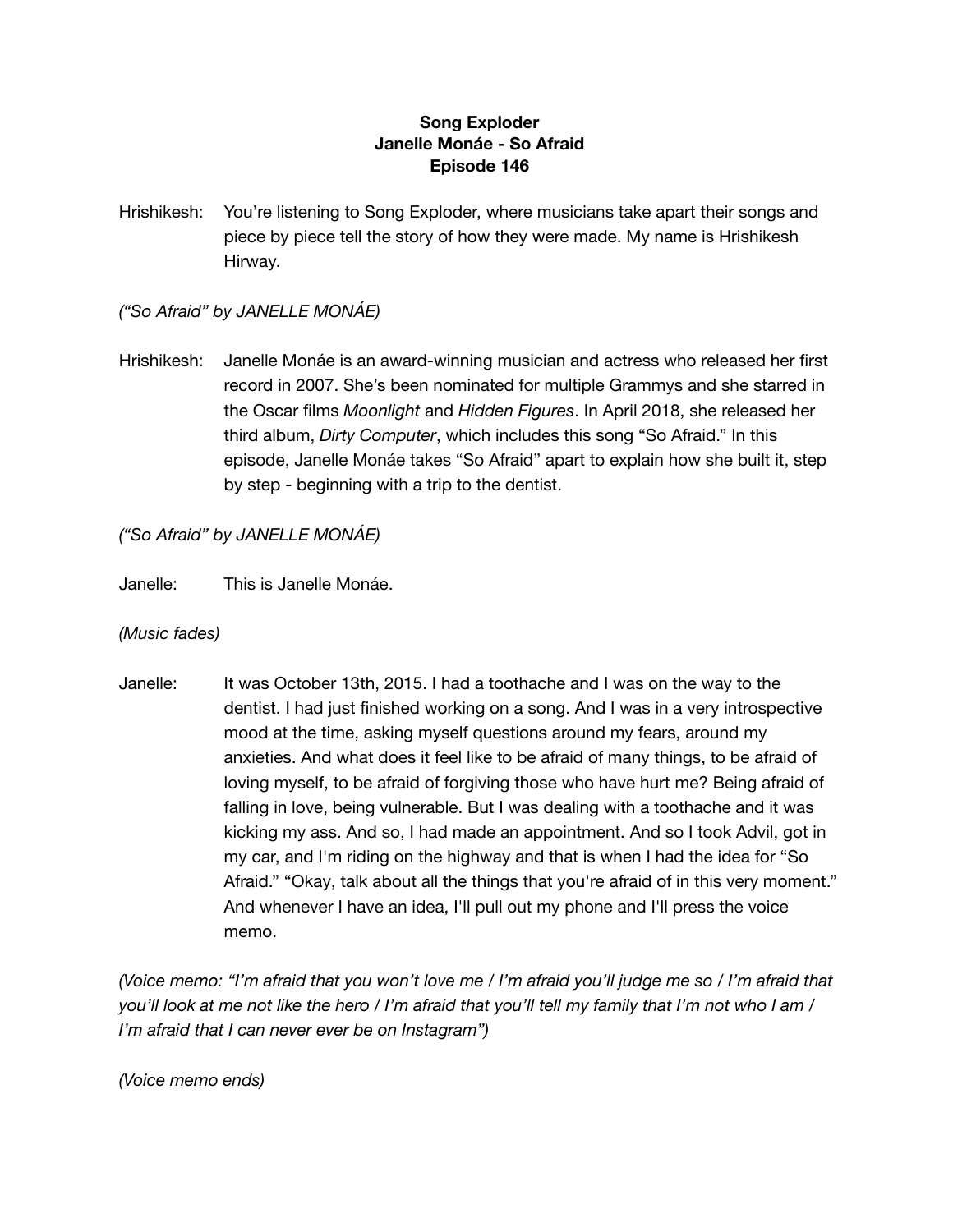## **Song Exploder Janelle Monáe - So Afraid Episode 146**

Hrishikesh: You're listening to Song Exploder, where musicians take apart their songs and piece by piece tell the story of how they were made. My name is Hrishikesh Hirway.

*("So Afraid" by JANELLE MONÁE)*

Hrishikesh: Janelle Monáe is an award-winning musician and actress who released her first record in 2007. She's been nominated for multiple Grammys and she starred in the Oscar films *Moonlight* and *Hidden Figures*. In April 2018, she released her third album, *Dirty Computer*, which includes this song "So Afraid." In this episode, Janelle Monáe takes "So Afraid" apart to explain how she built it, step by step - beginning with a trip to the dentist.

*("So Afraid" by JANELLE MONÁE)*

Janelle: This is Janelle Monáe.

### *(Music fades)*

Janelle: It was October 13th, 2015. I had a toothache and I was on the way to the dentist. I had just finished working on a song. And I was in a very introspective mood at the time, asking myself questions around my fears, around my anxieties. And what does it feel like to be afraid of many things, to be afraid of loving myself, to be afraid of forgiving those who have hurt me? Being afraid of falling in love, being vulnerable. But I was dealing with a toothache and it was kicking my ass. And so, I had made an appointment. And so I took Advil, got in my car, and I'm riding on the highway and that is when I had the idea for "So Afraid." "Okay, talk about all the things that you're afraid of in this very moment." And whenever I have an idea, I'll pull out my phone and I'll press the voice memo.

(Voice memo: "I'm afraid that you won't love me / I'm afraid you'll judge me so / I'm afraid that you'll look at me not like the hero / I'm afraid that you'll tell my family that I'm not who I am / *I'm afraid that I can never ever be on Instagram")*

*(Voice memo ends)*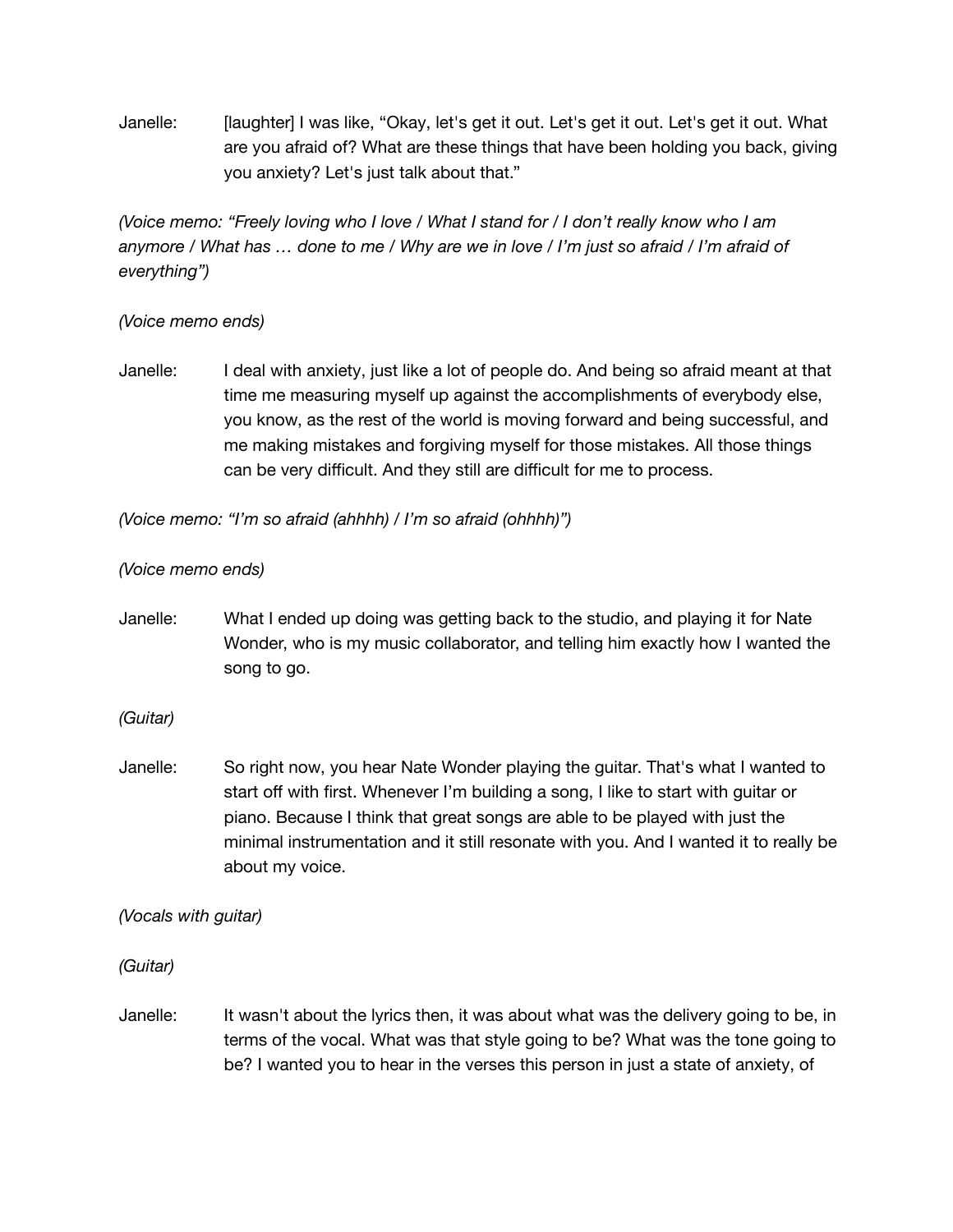Janelle: [laughter] I was like, "Okay, let's get it out. Let's get it out. Let's get it out. What are you afraid of? What are these things that have been holding you back, giving you anxiety? Let's just talk about that."

(Voice memo: "Freely loving who I love / What I stand for / I don't really know who I am anymore / What has ... done to me / Why are we in love / I'm just so afraid / I'm afraid of *everything")*

## *(Voice memo ends)*

Janelle: I deal with anxiety, just like a lot of people do. And being so afraid meant at that time me measuring myself up against the accomplishments of everybody else, you know, as the rest of the world is moving forward and being successful, and me making mistakes and forgiving myself for those mistakes. All those things can be very difficult. And they still are difficult for me to process.

*(Voice memo: "I'm so afraid (ahhhh) / I'm so afraid (ohhhh)")*

# *(Voice memo ends)*

Janelle: What I ended up doing was getting back to the studio, and playing it for Nate Wonder, who is my music collaborator, and telling him exactly how I wanted the song to go.

### *(Guitar)*

Janelle: So right now, you hear Nate Wonder playing the guitar. That's what I wanted to start off with first. Whenever I'm building a song, I like to start with guitar or piano. Because I think that great songs are able to be played with just the minimal instrumentation and it still resonate with you. And I wanted it to really be about my voice.

# *(Vocals with guitar)*

### *(Guitar)*

Janelle: It wasn't about the lyrics then, it was about what was the delivery going to be, in terms of the vocal. What was that style going to be? What was the tone going to be? I wanted you to hear in the verses this person in just a state of anxiety, of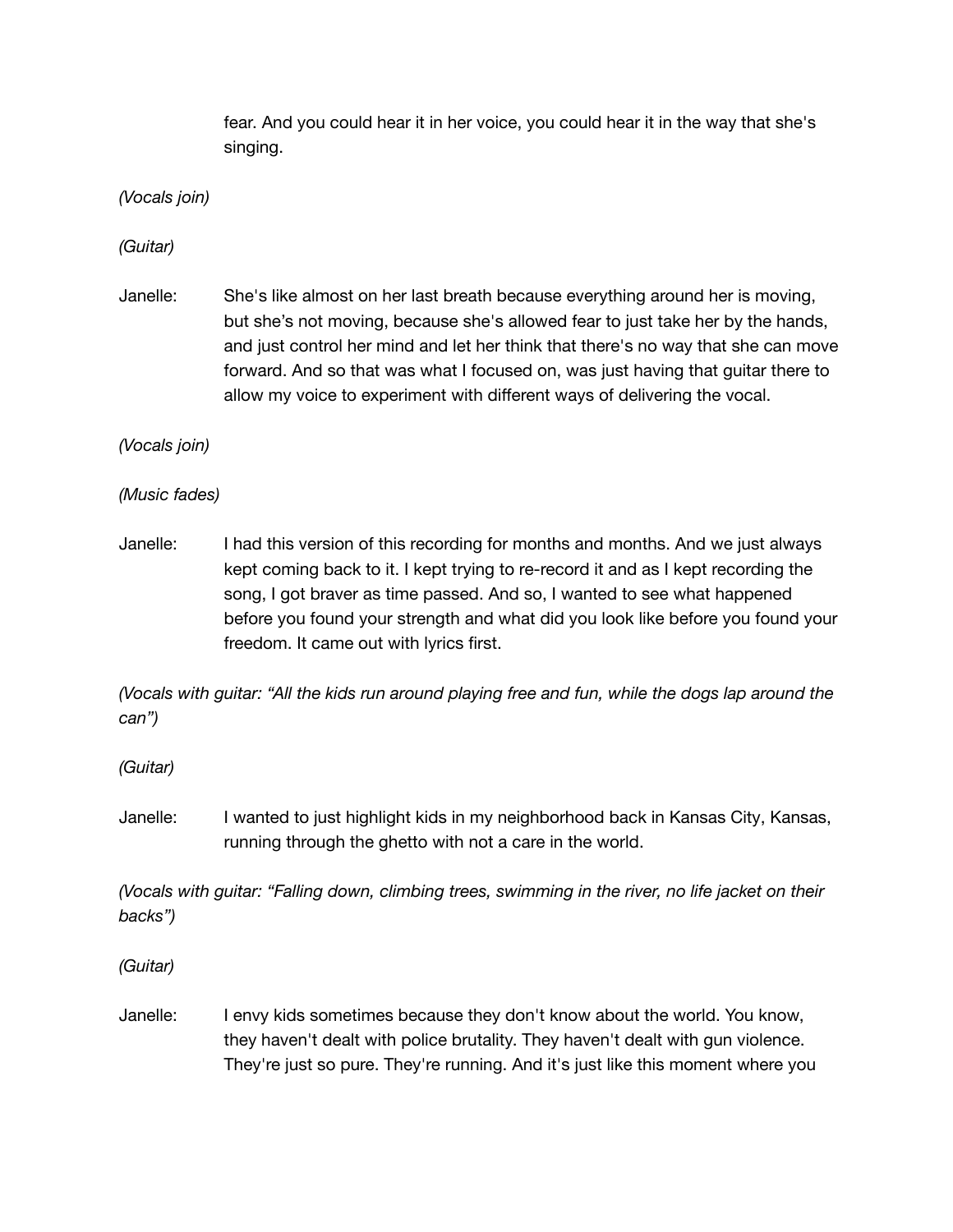fear. And you could hear it in her voice, you could hear it in the way that she's singing.

*(Vocals join)*

*(Guitar)*

Janelle: She's like almost on her last breath because everything around her is moving, but she's not moving, because she's allowed fear to just take her by the hands, and just control her mind and let her think that there's no way that she can move forward. And so that was what I focused on, was just having that guitar there to allow my voice to experiment with different ways of delivering the vocal.

*(Vocals join)*

## *(Music fades)*

Janelle: I had this version of this recording for months and months. And we just always kept coming back to it. I kept trying to re-record it and as I kept recording the song, I got braver as time passed. And so, I wanted to see what happened before you found your strength and what did you look like before you found your freedom. It came out with lyrics first.

*(Vocals with guitar: "All the kids run around playing free and fun, while the dogs lap around the can")*

*(Guitar)*

Janelle: I wanted to just highlight kids in my neighborhood back in Kansas City, Kansas, running through the ghetto with not a care in the world.

*(Vocals with guitar: "Falling down, climbing trees, swimming in the river, no life jacket on their backs")*

*(Guitar)*

Janelle: I envy kids sometimes because they don't know about the world. You know, they haven't dealt with police brutality. They haven't dealt with gun violence. They're just so pure. They're running. And it's just like this moment where you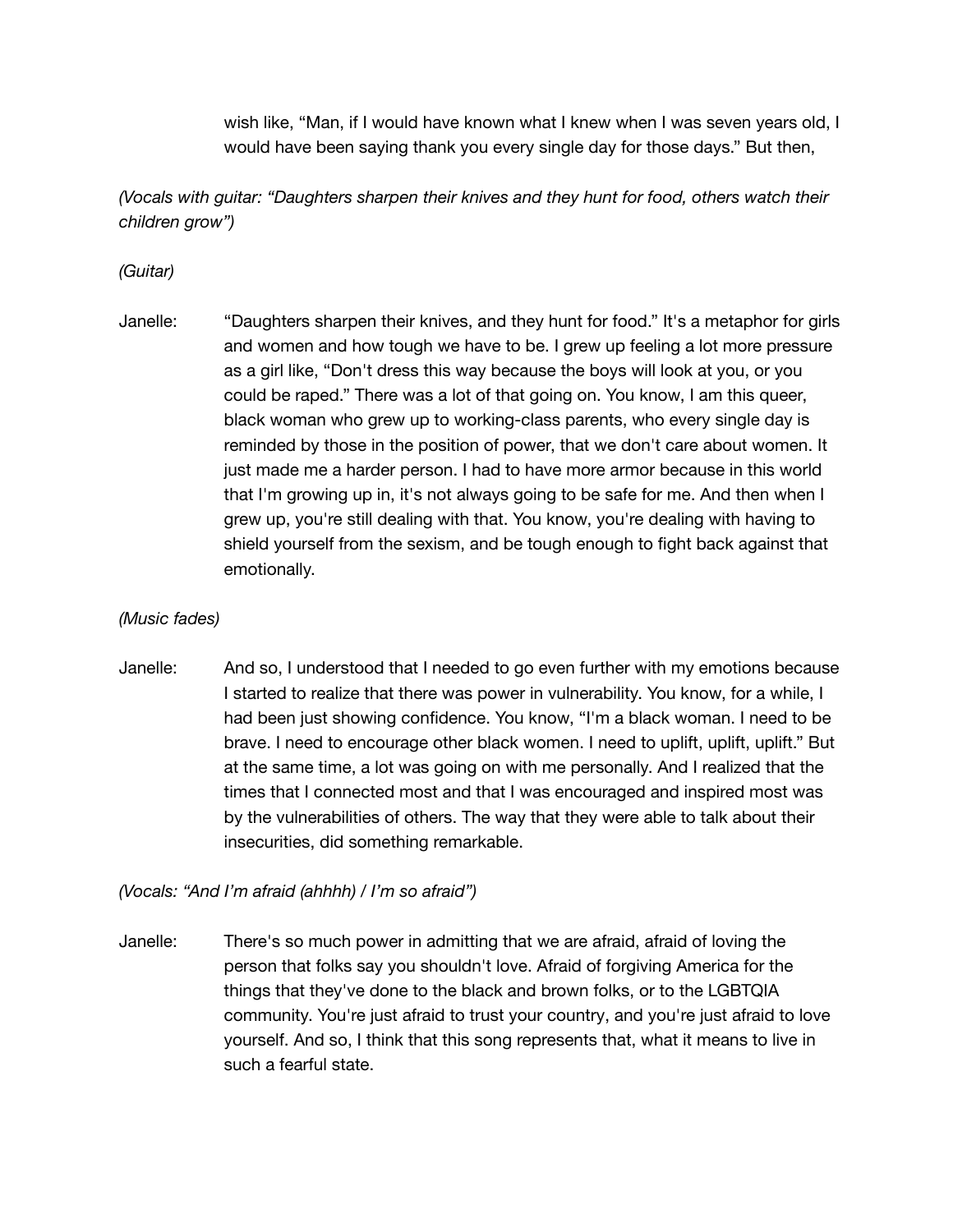wish like, "Man, if I would have known what I knew when I was seven years old, I would have been saying thank you every single day for those days." But then,

*(Vocals with guitar: "Daughters sharpen their knives and they hunt for food, others watch their children grow")*

### *(Guitar)*

Janelle: "Daughters sharpen their knives, and they hunt for food." It's a metaphor for girls and women and how tough we have to be. I grew up feeling a lot more pressure as a girl like, "Don't dress this way because the boys will look at you, or you could be raped." There was a lot of that going on. You know, I am this queer, black woman who grew up to working-class parents, who every single day is reminded by those in the position of power, that we don't care about women. It just made me a harder person. I had to have more armor because in this world that I'm growing up in, it's not always going to be safe for me. And then when I grew up, you're still dealing with that. You know, you're dealing with having to shield yourself from the sexism, and be tough enough to fight back against that emotionally.

#### *(Music fades)*

Janelle: And so, I understood that I needed to go even further with my emotions because I started to realize that there was power in vulnerability. You know, for a while, I had been just showing confidence. You know, "I'm a black woman. I need to be brave. I need to encourage other black women. I need to uplift, uplift, uplift." But at the same time, a lot was going on with me personally. And I realized that the times that I connected most and that I was encouraged and inspired most was by the vulnerabilities of others. The way that they were able to talk about their insecurities, did something remarkable.

### *(Vocals: "And I'm afraid (ahhhh) / I'm so afraid")*

Janelle: There's so much power in admitting that we are afraid, afraid of loving the person that folks say you shouldn't love. Afraid of forgiving America for the things that they've done to the black and brown folks, or to the LGBTQIA community. You're just afraid to trust your country, and you're just afraid to love yourself. And so, I think that this song represents that, what it means to live in such a fearful state.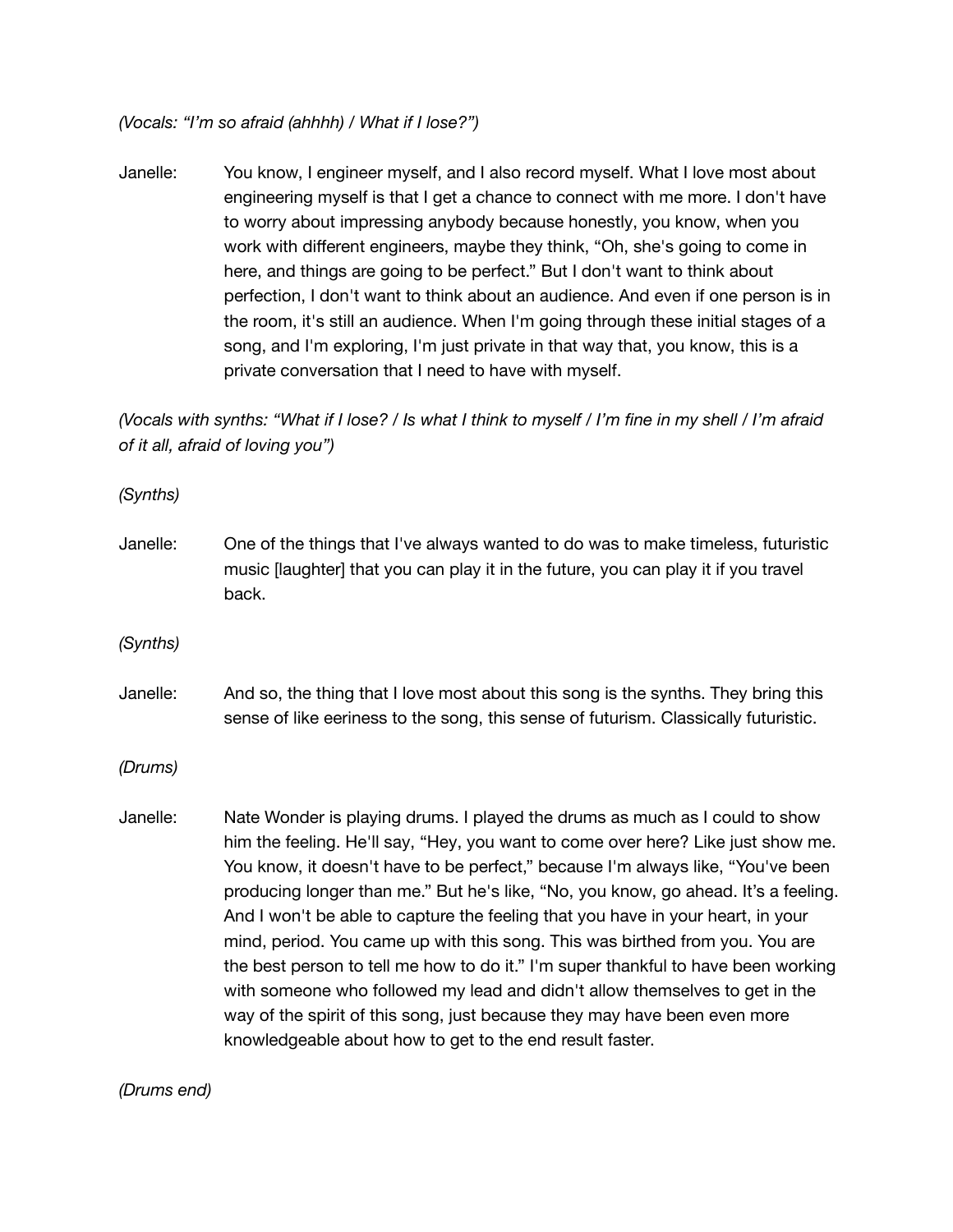*(Vocals: "I'm so afraid (ahhhh) / What if I lose?")*

Janelle: You know, I engineer myself, and I also record myself. What I love most about engineering myself is that I get a chance to connect with me more. I don't have to worry about impressing anybody because honestly, you know, when you work with different engineers, maybe they think, "Oh, she's going to come in here, and things are going to be perfect." But I don't want to think about perfection, I don't want to think about an audience. And even if one person is in the room, it's still an audience. When I'm going through these initial stages of a song, and I'm exploring, I'm just private in that way that, you know, this is a private conversation that I need to have with myself.

(Vocals with synths: "What if I lose? / Is what I think to myself / I'm fine in my shell / I'm afraid *of it all, afraid of loving you")*

| (Synths) |                                                                                                                                                                                                                                                                                                                                                                                                                                                                                                                                                                                                                                                                                                                                                                                                                          |
|----------|--------------------------------------------------------------------------------------------------------------------------------------------------------------------------------------------------------------------------------------------------------------------------------------------------------------------------------------------------------------------------------------------------------------------------------------------------------------------------------------------------------------------------------------------------------------------------------------------------------------------------------------------------------------------------------------------------------------------------------------------------------------------------------------------------------------------------|
| Janelle: | One of the things that I've always wanted to do was to make timeless, futuristic<br>music [laughter] that you can play it in the future, you can play it if you travel<br>back.                                                                                                                                                                                                                                                                                                                                                                                                                                                                                                                                                                                                                                          |
| (Synths) |                                                                                                                                                                                                                                                                                                                                                                                                                                                                                                                                                                                                                                                                                                                                                                                                                          |
| Janelle: | And so, the thing that I love most about this song is the synths. They bring this<br>sense of like eeriness to the song, this sense of futurism. Classically futuristic.                                                                                                                                                                                                                                                                                                                                                                                                                                                                                                                                                                                                                                                 |
| (Drums)  |                                                                                                                                                                                                                                                                                                                                                                                                                                                                                                                                                                                                                                                                                                                                                                                                                          |
| Janelle: | Nate Wonder is playing drums. I played the drums as much as I could to show<br>him the feeling. He'll say, "Hey, you want to come over here? Like just show me.<br>You know, it doesn't have to be perfect," because I'm always like, "You've been<br>producing longer than me." But he's like, "No, you know, go ahead. It's a feeling.<br>And I won't be able to capture the feeling that you have in your heart, in your<br>mind, period. You came up with this song. This was birthed from you. You are<br>the best person to tell me how to do it." I'm super thankful to have been working<br>with someone who followed my lead and didn't allow themselves to get in the<br>way of the spirit of this song, just because they may have been even more<br>knowledgeable about how to get to the end result faster. |

*(Drums end)*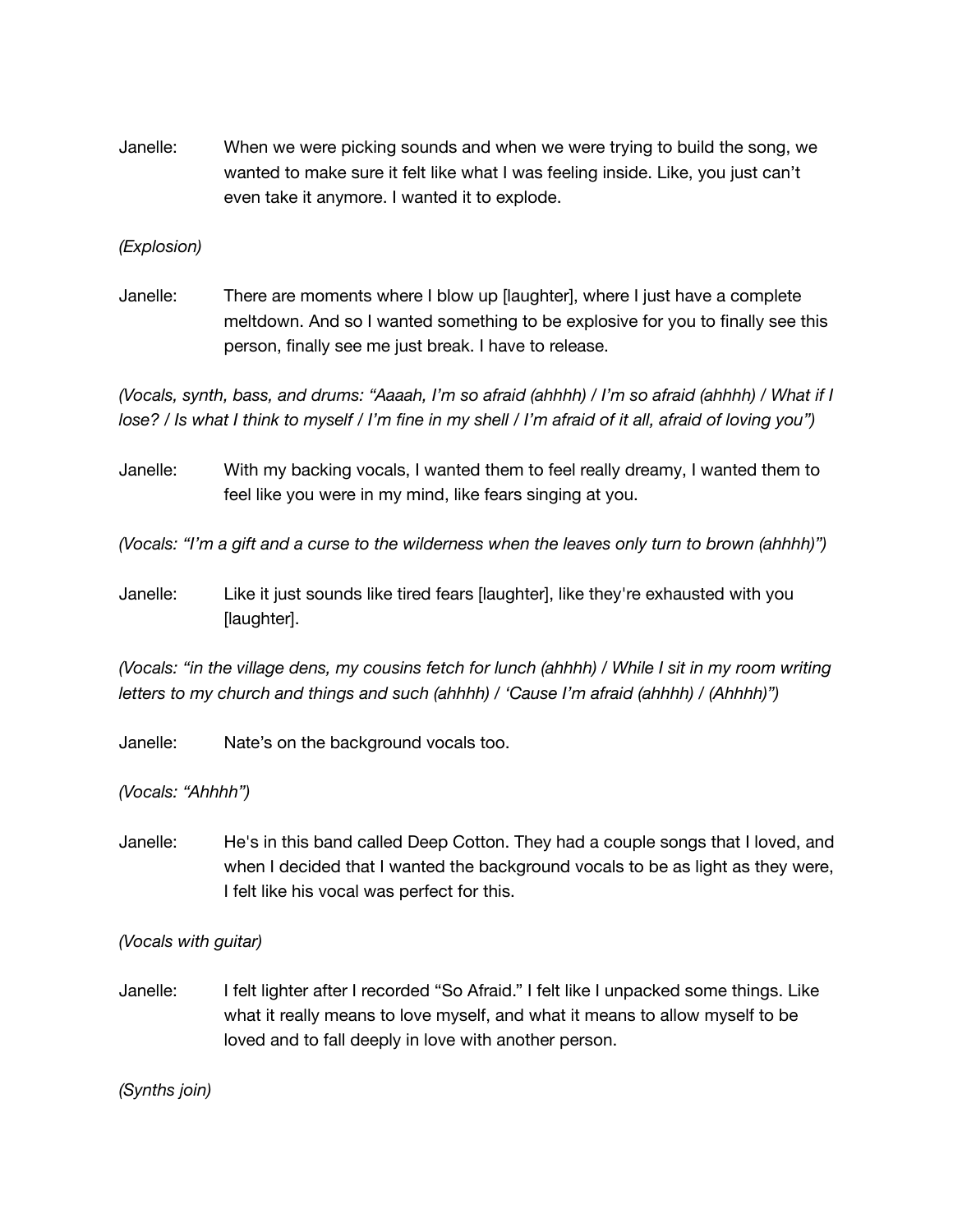Janelle: When we were picking sounds and when we were trying to build the song, we wanted to make sure it felt like what I was feeling inside. Like, you just can't even take it anymore. I wanted it to explode.

### *(Explosion)*

Janelle: There are moments where I blow up [laughter], where I just have a complete meltdown. And so I wanted something to be explosive for you to finally see this person, finally see me just break. I have to release.

(Vocals, synth, bass, and drums: "Aaaah, I'm so afraid (ahhhh) / I'm so afraid (ahhhh) / What if I lose? / Is what I think to myself / I'm fine in my shell / I'm afraid of it all, afraid of loving you")

Janelle: With my backing vocals, I wanted them to feel really dreamy, I wanted them to feel like you were in my mind, like fears singing at you.

*(Vocals: "I'm a gift and a curse to the wilderness when the leaves only turn to brown (ahhhh)")*

Janelle: Like it just sounds like tired fears [laughter], like they're exhausted with you [laughter].

(Vocals: "in the village dens, my cousins fetch for lunch (ahhhh) / While I sit in my room writing *letters to my church and things and such (ahhhh) / 'Cause I'm afraid (ahhhh) / (Ahhhh)")*

Janelle: Nate's on the background vocals too.

*(Vocals: "Ahhhh")*

Janelle: He's in this band called Deep Cotton. They had a couple songs that I loved, and when I decided that I wanted the background vocals to be as light as they were, I felt like his vocal was perfect for this.

*(Vocals with guitar)*

Janelle: I felt lighter after I recorded "So Afraid." I felt like I unpacked some things. Like what it really means to love myself, and what it means to allow myself to be loved and to fall deeply in love with another person.

*(Synths join)*